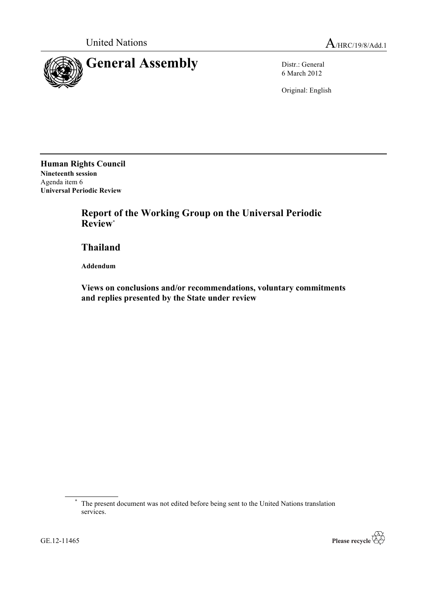

6 March 2012

Original: English

**Human Rights Council Nineteenth session** Agenda item 6 **Universal Periodic Review**

> **Report of the Working Group on the Universal Periodic Review**\*

**Thailand**

**Addendum**

**Views on conclusions and/or recommendations, voluntary commitments and replies presented by the State under review**



<sup>\*</sup> The present document was not edited before being sent to the United Nations translation services.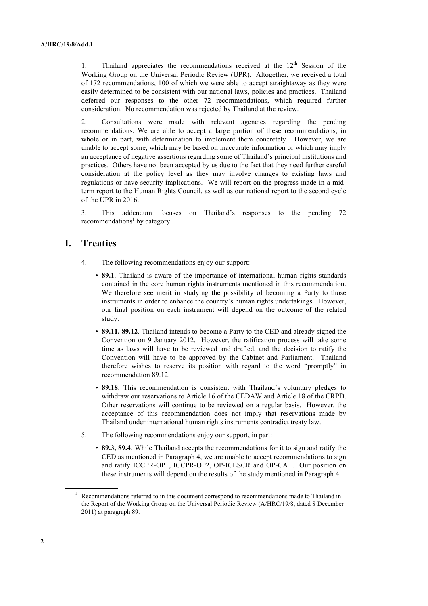1. Thailand appreciates the recommendations received at the  $12<sup>th</sup>$  Session of the Working Group on the Universal Periodic Review (UPR). Altogether, we received a total of 172 recommendations, 100 of which we were able to accept straightaway as they were easily determined to be consistent with our national laws, policies and practices. Thailand deferred our responses to the other 72 recommendations, which required further consideration. No recommendation was rejected by Thailand at the review.

2. Consultations were made with relevant agencies regarding the pending recommendations. We are able to accept a large portion of these recommendations, in whole or in part, with determination to implement them concretely. However, we are unable to accept some, which may be based on inaccurate information or which may imply an acceptance of negative assertions regarding some of Thailand's principal institutions and practices. Others have not been accepted by us due to the fact that they need further careful consideration at the policy level as they may involve changes to existing laws and regulations or have security implications. We will report on the progress made in a midterm report to the Human Rights Council, as well as our national report to the second cycle of the UPR in 2016.

3. This addendum focuses on Thailand's responses to the pending 72  $recommendations<sup>1</sup>$  by category.

# **I. Treaties**

- 4. The following recommendations enjoy our support:
	- **89.1**. Thailand is aware of the importance of international human rights standards contained in the core human rights instruments mentioned in this recommendation. We therefore see merit in studying the possibility of becoming a Party to those instruments in order to enhance the country's human rights undertakings. However, our final position on each instrument will depend on the outcome of the related study.
	- **89.11, 89.12**. Thailand intends to become a Party to the CED and already signed the Convention on 9 January 2012. However, the ratification process will take some time as laws will have to be reviewed and drafted, and the decision to ratify the Convention will have to be approved by the Cabinet and Parliament. Thailand therefore wishes to reserve its position with regard to the word "promptly" in recommendation 89.12.
	- **89.18**. This recommendation is consistent with Thailand's voluntary pledges to withdraw our reservations to Article 16 of the CEDAW and Article 18 of the CRPD. Other reservations will continue to be reviewed on a regular basis. However, the acceptance of this recommendation does not imply that reservations made by Thailand under international human rights instruments contradict treaty law.
- 5. The following recommendations enjoy our support, in part:
	- **89.3, 89.4**. While Thailand accepts the recommendations for it to sign and ratify the CED as mentioned in Paragraph 4, we are unable to accept recommendations to sign and ratify ICCPR-OP1, ICCPR-OP2, OP-ICESCR and OP-CAT. Our position on these instruments will depend on the results of the study mentioned in Paragraph 4.

 $1$  Recommendations referred to in this document correspond to recommendations made to Thailand in the Report of the Working Group on the Universal Periodic Review (A/HRC/19/8, dated 8 December 2011) at paragraph 89.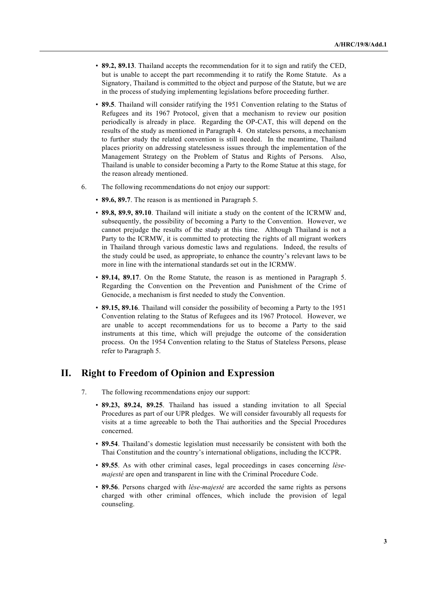- **89.2, 89.13**. Thailand accepts the recommendation for it to sign and ratify the CED, but is unable to accept the part recommending it to ratify the Rome Statute. As a Signatory, Thailand is committed to the object and purpose of the Statute, but we are in the process of studying implementing legislations before proceeding further.
- **89.5**. Thailand will consider ratifying the 1951 Convention relating to the Status of Refugees and its 1967 Protocol, given that a mechanism to review our position periodically is already in place. Regarding the OP-CAT, this will depend on the results of the study as mentioned in Paragraph 4. On stateless persons, a mechanism to further study the related convention is still needed. In the meantime, Thailand places priority on addressing statelessness issues through the implementation of the Management Strategy on the Problem of Status and Rights of Persons. Also, Thailand is unable to consider becoming a Party to the Rome Statue at this stage, for the reason already mentioned.
- 6. The following recommendations do not enjoy our support:
	- **89.6, 89.7**. The reason is as mentioned in Paragraph 5.
	- **89.8, 89.9, 89.10**. Thailand will initiate a study on the content of the ICRMW and, subsequently, the possibility of becoming a Party to the Convention. However, we cannot prejudge the results of the study at this time. Although Thailand is not a Party to the ICRMW, it is committed to protecting the rights of all migrant workers in Thailand through various domestic laws and regulations. Indeed, the results of the study could be used, as appropriate, to enhance the country's relevant laws to be more in line with the international standards set out in the ICRMW.
	- **89.14, 89.17**. On the Rome Statute, the reason is as mentioned in Paragraph 5. Regarding the Convention on the Prevention and Punishment of the Crime of Genocide, a mechanism is first needed to study the Convention.
	- **89.15, 89.16**. Thailand will consider the possibility of becoming a Party to the 1951 Convention relating to the Status of Refugees and its 1967 Protocol. However, we are unable to accept recommendations for us to become a Party to the said instruments at this time, which will prejudge the outcome of the consideration process. On the 1954 Convention relating to the Status of Stateless Persons, please refer to Paragraph 5.

#### **II. Right to Freedom of Opinion and Expression**

- 7. The following recommendations enjoy our support:
	- **89.23, 89.24, 89.25**. Thailand has issued a standing invitation to all Special Procedures as part of our UPR pledges. We will consider favourably all requests for visits at a time agreeable to both the Thai authorities and the Special Procedures concerned.
	- **89.54**. Thailand's domestic legislation must necessarily be consistent with both the Thai Constitution and the country's international obligations, including the ICCPR.
	- **89.55**. As with other criminal cases, legal proceedings in cases concerning *lèsemajesté* are open and transparent in line with the Criminal Procedure Code.
	- **89.56**. Persons charged with *lèse-majesté* are accorded the same rights as persons charged with other criminal offences, which include the provision of legal counseling.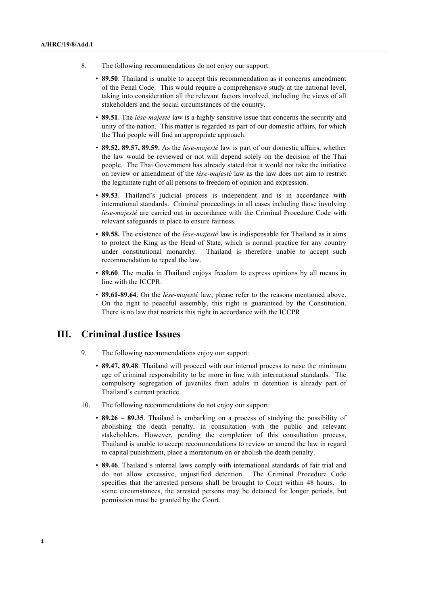- 8. The following recommendations do not enjoy our support:
	- **89.50**. Thailand is unable to accept this recommendation as it concerns amendment of the Penal Code. This would require a comprehensive study at the national level, taking into consideration all the relevant factors involved, including the views of all stakeholders and the social circumstances of the country.
	- **89.51**. The *lèse-majesté* law is a highly sensitive issue that concerns the security and unity of the nation. This matter is regarded as part of our domestic affairs, for which the Thai people will find an appropriate approach.
	- **89.52, 89.57, 89.59.** As the *lèse-majesté* law is part of our domestic affairs, whether the law would be reviewed or not will depend solely on the decision of the Thai people. The Thai Government has already stated that it would not take the initiative on review or amendment of the *lèse-majesté* law as the law does not aim to restrict the legitimate right of all persons to freedom of opinion and expression.
	- **89.53**. Thailand's judicial process is independent and is in accordance with international standards. Criminal proceedings in all cases including those involving *lèse-majesté* are carried out in accordance with the Criminal Procedure Code with relevant safeguards in place to ensure fairness.
	- **89.58.** The existence of the *lèse-majesté* law is indispensable for Thailand as it aims to protect the King as the Head of State, which is normal practice for any country under constitutional monarchy. Thailand is therefore unable to accept such recommendation to repeal the law.
	- **89.60**. The media in Thailand enjoys freedom to express opinions by all means in line with the ICCPR.
	- **89.61-89.64**. On the *lèse-majesté* law, please refer to the reasons mentioned above. On the right to peaceful assembly, this right is guaranteed by the Constitution. There is no law that restricts this right in accordance with the ICCPR.

#### **III. Criminal Justice Issues**

- 9. The following recommendations enjoy our support:
	- **89.47, 89.48**. Thailand will proceed with our internal process to raise the minimum age of criminal responsibility to be more in line with international standards. The compulsory segregation of juveniles from adults in detention is already part of Thailand's current practice.
- 10. The following recommendations do not enjoy our support:
	- **89.26 – 89.35**. Thailand is embarking on a process of studying the possibility of abolishing the death penalty, in consultation with the public and relevant stakeholders. However, pending the completion of this consultation process, Thailand is unable to accept recommendations to review or amend the law in regard to capital punishment, place a moratorium on or abolish the death penalty.
	- **89.46**. Thailand's internal laws comply with international standards of fair trial and do not allow excessive, unjustified detention. The Criminal Procedure Code specifies that the arrested persons shall be brought to Court within 48 hours. In some circumstances, the arrested persons may be detained for longer periods, but permission must be granted by the Court.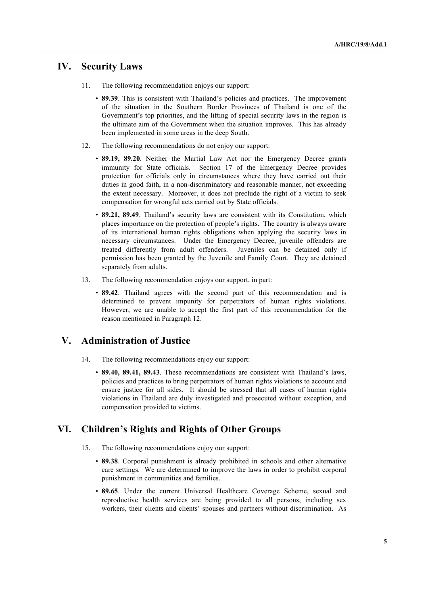#### **IV. Security Laws**

- 11. The following recommendation enjoys our support:
	- **89.39**. This is consistent with Thailand's policies and practices. The improvement of the situation in the Southern Border Provinces of Thailand is one of the Government's top priorities, and the lifting of special security laws in the region is the ultimate aim of the Government when the situation improves. This has already been implemented in some areas in the deep South.
- 12. The following recommendations do not enjoy our support:
	- **89.19, 89.20**. Neither the Martial Law Act nor the Emergency Decree grants immunity for State officials. Section 17 of the Emergency Decree provides protection for officials only in circumstances where they have carried out their duties in good faith, in a non-discriminatory and reasonable manner, not exceeding the extent necessary. Moreover, it does not preclude the right of a victim to seek compensation for wrongful acts carried out by State officials.
	- **89.21, 89.49**. Thailand's security laws are consistent with its Constitution, which places importance on the protection of people's rights. The country is always aware of its international human rights obligations when applying the security laws in necessary circumstances. Under the Emergency Decree, juvenile offenders are treated differently from adult offenders. Juveniles can be detained only if permission has been granted by the Juvenile and Family Court. They are detained separately from adults.
- 13. The following recommendation enjoys our support, in part:
	- **89.42**. Thailand agrees with the second part of this recommendation and is determined to prevent impunity for perpetrators of human rights violations. However, we are unable to accept the first part of this recommendation for the reason mentioned in Paragraph 12.

#### **V. Administration of Justice**

- 14. The following recommendations enjoy our support:
	- **89.40, 89.41, 89.43**. These recommendations are consistent with Thailand's laws, policies and practices to bring perpetrators of human rights violations to account and ensure justice for all sides. It should be stressed that all cases of human rights violations in Thailand are duly investigated and prosecuted without exception, and compensation provided to victims.

### **VI. Children's Rights and Rights of Other Groups**

- 15. The following recommendations enjoy our support:
	- **89.38**. Corporal punishment is already prohibited in schools and other alternative care settings. We are determined to improve the laws in order to prohibit corporal punishment in communities and families.
	- **89.65**. Under the current Universal Healthcare Coverage Scheme, sexual and reproductive health services are being provided to all persons, including sex workers, their clients and clients' spouses and partners without discrimination. As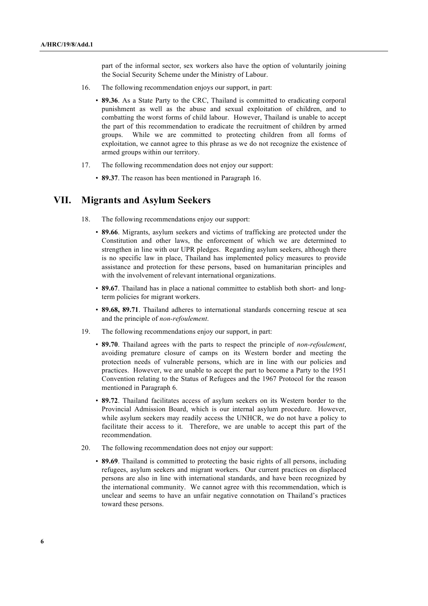part of the informal sector, sex workers also have the option of voluntarily joining the Social Security Scheme under the Ministry of Labour.

- 16. The following recommendation enjoys our support, in part:
	- **89.36**. As a State Party to the CRC, Thailand is committed to eradicating corporal punishment as well as the abuse and sexual exploitation of children, and to combatting the worst forms of child labour. However, Thailand is unable to accept the part of this recommendation to eradicate the recruitment of children by armed groups. While we are committed to protecting children from all forms of exploitation, we cannot agree to this phrase as we do not recognize the existence of armed groups within our territory.
- 17. The following recommendation does not enjoy our support:
	- **89.37**. The reason has been mentioned in Paragraph 16.

#### **VII. Migrants and Asylum Seekers**

- 18. The following recommendations enjoy our support:
	- **89.66**. Migrants, asylum seekers and victims of trafficking are protected under the Constitution and other laws, the enforcement of which we are determined to strengthen in line with our UPR pledges. Regarding asylum seekers, although there is no specific law in place, Thailand has implemented policy measures to provide assistance and protection for these persons, based on humanitarian principles and with the involvement of relevant international organizations.
	- **89.67**. Thailand has in place a national committee to establish both short- and longterm policies for migrant workers.
	- **89.68, 89.71**. Thailand adheres to international standards concerning rescue at sea and the principle of *non-refoulement*.
- 19. The following recommendations enjoy our support, in part:
	- **89.70**. Thailand agrees with the parts to respect the principle of *non-refoulement*, avoiding premature closure of camps on its Western border and meeting the protection needs of vulnerable persons, which are in line with our policies and practices. However, we are unable to accept the part to become a Party to the 1951 Convention relating to the Status of Refugees and the 1967 Protocol for the reason mentioned in Paragraph 6.
	- **89.72**. Thailand facilitates access of asylum seekers on its Western border to the Provincial Admission Board, which is our internal asylum procedure. However, while asylum seekers may readily access the UNHCR, we do not have a policy to facilitate their access to it. Therefore, we are unable to accept this part of the recommendation.
- 20. The following recommendation does not enjoy our support:
	- **89.69**. Thailand is committed to protecting the basic rights of all persons, including refugees, asylum seekers and migrant workers. Our current practices on displaced persons are also in line with international standards, and have been recognized by the international community. We cannot agree with this recommendation, which is unclear and seems to have an unfair negative connotation on Thailand's practices toward these persons.